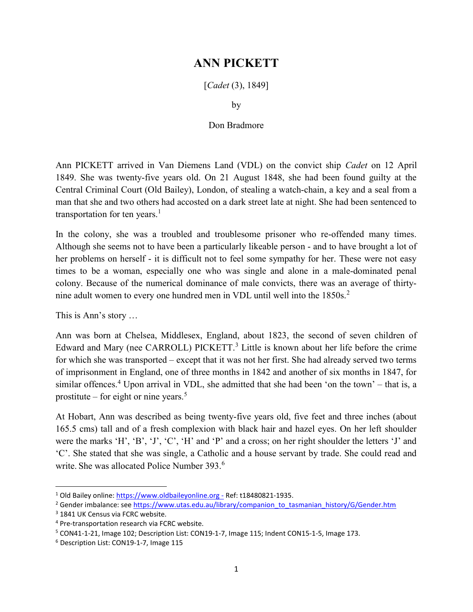## ANN PICKETT

[*Cadet* (3), 1849]

by

## Don Bradmore

Ann PICKETT arrived in Van Diemens Land (VDL) on the convict ship Cadet on 12 April 1849. She was twenty-five years old. On 21 August 1848, she had been found guilty at the Central Criminal Court (Old Bailey), London, of stealing a watch-chain, a key and a seal from a man that she and two others had accosted on a dark street late at night. She had been sentenced to transportation for ten years.<sup>1</sup>

In the colony, she was a troubled and troublesome prisoner who re-offended many times. Although she seems not to have been a particularly likeable person - and to have brought a lot of her problems on herself - it is difficult not to feel some sympathy for her. These were not easy times to be a woman, especially one who was single and alone in a male-dominated penal colony. Because of the numerical dominance of male convicts, there was an average of thirtynine adult women to every one hundred men in VDL until well into the 1850s.<sup>2</sup>

This is Ann's story …

Ann was born at Chelsea, Middlesex, England, about 1823, the second of seven children of Edward and Mary (nee CARROLL) PICKETT.<sup>3</sup> Little is known about her life before the crime for which she was transported – except that it was not her first. She had already served two terms of imprisonment in England, one of three months in 1842 and another of six months in 1847, for similar offences.<sup>4</sup> Upon arrival in VDL, she admitted that she had been 'on the town' – that is, a prostitute – for eight or nine years.<sup>5</sup>

At Hobart, Ann was described as being twenty-five years old, five feet and three inches (about 165.5 cms) tall and of a fresh complexion with black hair and hazel eyes. On her left shoulder were the marks 'H', 'B', 'J', 'C', 'H' and 'P' and a cross; on her right shoulder the letters 'J' and 'C'. She stated that she was single, a Catholic and a house servant by trade. She could read and write. She was allocated Police Number 393.<sup>6</sup>

<sup>&</sup>lt;sup>1</sup> Old Bailey online: https://www.oldbaileyonline.org - Ref: t18480821-1935.

<sup>&</sup>lt;sup>2</sup> Gender imbalance: see https://www.utas.edu.au/library/companion\_to\_tasmanian\_history/G/Gender.htm

<sup>&</sup>lt;sup>3</sup> 1841 UK Census via FCRC website.

<sup>4</sup> Pre-transportation research via FCRC website.

<sup>&</sup>lt;sup>5</sup> CON41-1-21, Image 102; Description List: CON19-1-7, Image 115; Indent CON15-1-5, Image 173.

<sup>6</sup> Description List: CON19-1-7, Image 115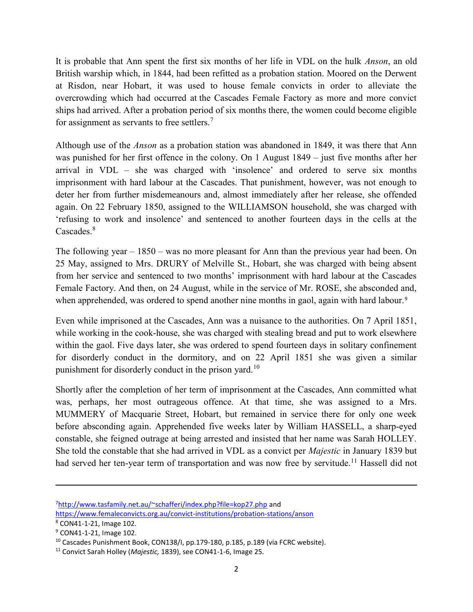It is probable that Ann spent the first six months of her life in VDL on the hulk Anson, an old British warship which, in 1844, had been refitted as a probation station. Moored on the Derwent at Risdon, near Hobart, it was used to house female convicts in order to alleviate the overcrowding which had occurred at the Cascades Female Factory as more and more convict ships had arrived. After a probation period of six months there, the women could become eligible for assignment as servants to free settlers.<sup>7</sup>

Although use of the Anson as a probation station was abandoned in 1849, it was there that Ann was punished for her first offence in the colony. On 1 August 1849 – just five months after her arrival in VDL – she was charged with 'insolence' and ordered to serve six months imprisonment with hard labour at the Cascades. That punishment, however, was not enough to deter her from further misdemeanours and, almost immediately after her release, she offended again. On 22 February 1850, assigned to the WILLIAMSON household, she was charged with 'refusing to work and insolence' and sentenced to another fourteen days in the cells at the Cascades.<sup>8</sup>

The following year – 1850 – was no more pleasant for Ann than the previous year had been. On 25 May, assigned to Mrs. DRURY of Melville St., Hobart, she was charged with being absent from her service and sentenced to two months' imprisonment with hard labour at the Cascades Female Factory. And then, on 24 August, while in the service of Mr. ROSE, she absconded and, when apprehended, was ordered to spend another nine months in gaol, again with hard labour.<sup>9</sup>

Even while imprisoned at the Cascades, Ann was a nuisance to the authorities. On 7 April 1851, while working in the cook-house, she was charged with stealing bread and put to work elsewhere within the gaol. Five days later, she was ordered to spend fourteen days in solitary confinement for disorderly conduct in the dormitory, and on 22 April 1851 she was given a similar punishment for disorderly conduct in the prison yard.<sup>10</sup>

Shortly after the completion of her term of imprisonment at the Cascades, Ann committed what was, perhaps, her most outrageous offence. At that time, she was assigned to a Mrs. MUMMERY of Macquarie Street, Hobart, but remained in service there for only one week before absconding again. Apprehended five weeks later by William HASSELL, a sharp-eyed constable, she feigned outrage at being arrested and insisted that her name was Sarah HOLLEY. She told the constable that she had arrived in VDL as a convict per Majestic in January 1839 but had served her ten-year term of transportation and was now free by servitude.<sup>11</sup> Hassell did not

 $\overline{a}$ 

<sup>7</sup>http://www.tasfamily.net.au/~schafferi/index.php?file=kop27.php and

https://www.femaleconvicts.org.au/convict-institutions/probation-stations/anson

<sup>8</sup> CON41-1-21, Image 102.

<sup>9</sup> CON41-1-21, Image 102.

<sup>&</sup>lt;sup>10</sup> Cascades Punishment Book, CON138/I, pp.179-180, p.185, p.189 (via FCRC website).

<sup>&</sup>lt;sup>11</sup> Convict Sarah Holley (Majestic, 1839), see CON41-1-6, Image 25.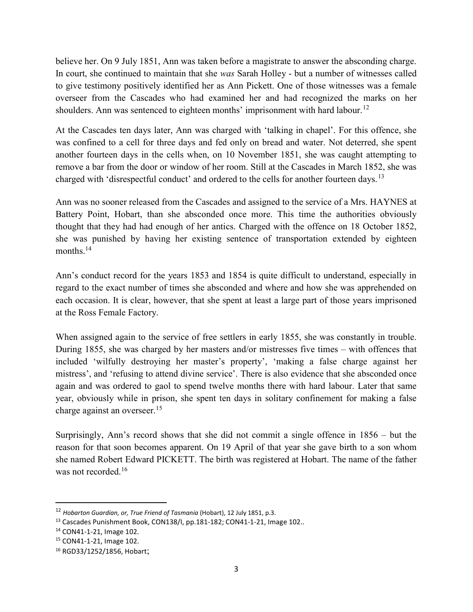believe her. On 9 July 1851, Ann was taken before a magistrate to answer the absconding charge. In court, she continued to maintain that she was Sarah Holley - but a number of witnesses called to give testimony positively identified her as Ann Pickett. One of those witnesses was a female overseer from the Cascades who had examined her and had recognized the marks on her shoulders. Ann was sentenced to eighteen months' imprisonment with hard labour.<sup>12</sup>

At the Cascades ten days later, Ann was charged with 'talking in chapel'. For this offence, she was confined to a cell for three days and fed only on bread and water. Not deterred, she spent another fourteen days in the cells when, on 10 November 1851, she was caught attempting to remove a bar from the door or window of her room. Still at the Cascades in March 1852, she was charged with 'disrespectful conduct' and ordered to the cells for another fourteen days.<sup>13</sup>

Ann was no sooner released from the Cascades and assigned to the service of a Mrs. HAYNES at Battery Point, Hobart, than she absconded once more. This time the authorities obviously thought that they had had enough of her antics. Charged with the offence on 18 October 1852, she was punished by having her existing sentence of transportation extended by eighteen months.<sup>14</sup>

Ann's conduct record for the years 1853 and 1854 is quite difficult to understand, especially in regard to the exact number of times she absconded and where and how she was apprehended on each occasion. It is clear, however, that she spent at least a large part of those years imprisoned at the Ross Female Factory.

When assigned again to the service of free settlers in early 1855, she was constantly in trouble. During 1855, she was charged by her masters and/or mistresses five times – with offences that included 'wilfully destroying her master's property', 'making a false charge against her mistress', and 'refusing to attend divine service'. There is also evidence that she absconded once again and was ordered to gaol to spend twelve months there with hard labour. Later that same year, obviously while in prison, she spent ten days in solitary confinement for making a false charge against an overseer.<sup>15</sup>

Surprisingly, Ann's record shows that she did not commit a single offence in 1856 – but the reason for that soon becomes apparent. On 19 April of that year she gave birth to a son whom she named Robert Edward PICKETT. The birth was registered at Hobart. The name of the father was not recorded.<sup>16</sup>

<sup>&</sup>lt;sup>12</sup> Hobarton Guardian, or, True Friend of Tasmania (Hobart), 12 July 1851, p.3.

<sup>&</sup>lt;sup>13</sup> Cascades Punishment Book, CON138/I, pp.181-182; CON41-1-21, Image 102..

<sup>14</sup> CON41-1-21, Image 102.

<sup>15</sup> CON41-1-21, Image 102.

<sup>16</sup> RGD33/1252/1856, Hobart;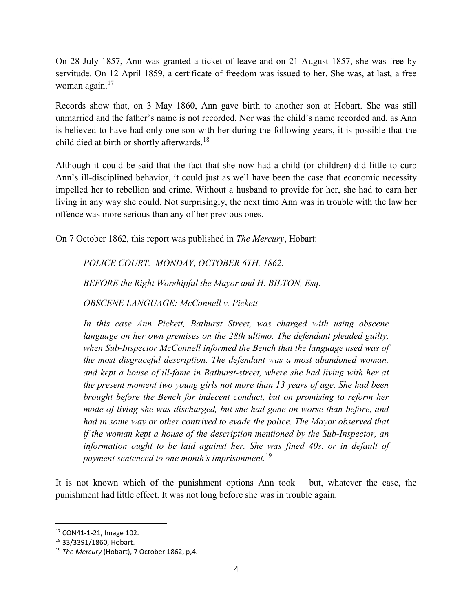On 28 July 1857, Ann was granted a ticket of leave and on 21 August 1857, she was free by servitude. On 12 April 1859, a certificate of freedom was issued to her. She was, at last, a free woman again.<sup>17</sup>

Records show that, on 3 May 1860, Ann gave birth to another son at Hobart. She was still unmarried and the father's name is not recorded. Nor was the child's name recorded and, as Ann is believed to have had only one son with her during the following years, it is possible that the child died at birth or shortly afterwards.<sup>18</sup>

Although it could be said that the fact that she now had a child (or children) did little to curb Ann's ill-disciplined behavior, it could just as well have been the case that economic necessity impelled her to rebellion and crime. Without a husband to provide for her, she had to earn her living in any way she could. Not surprisingly, the next time Ann was in trouble with the law her offence was more serious than any of her previous ones.

On 7 October 1862, this report was published in The Mercury, Hobart:

POLICE COURT. MONDAY, OCTOBER 6TH, 1862.

BEFORE the Right Worshipful the Mayor and H. BILTON, Esq.

OBSCENE LANGUAGE: McConnell v. Pickett

In this case Ann Pickett, Bathurst Street, was charged with using obscene language on her own premises on the 28th ultimo. The defendant pleaded guilty, when Sub-Inspector McConnell informed the Bench that the language used was of the most disgraceful description. The defendant was a most abandoned woman, and kept a house of ill-fame in Bathurst-street, where she had living with her at the present moment two young girls not more than 13 years of age. She had been brought before the Bench for indecent conduct, but on promising to reform her mode of living she was discharged, but she had gone on worse than before, and had in some way or other contrived to evade the police. The Mayor observed that if the woman kept a house of the description mentioned by the Sub-Inspector, an information ought to be laid against her. She was fined 40s. or in default of payment sentenced to one month's imprisonment.<sup>19</sup>

It is not known which of the punishment options Ann took – but, whatever the case, the punishment had little effect. It was not long before she was in trouble again.

<sup>17</sup> CON41-1-21, Image 102.

<sup>18</sup> 33/3391/1860, Hobart.

<sup>&</sup>lt;sup>19</sup> The Mercury (Hobart), 7 October 1862, p,4.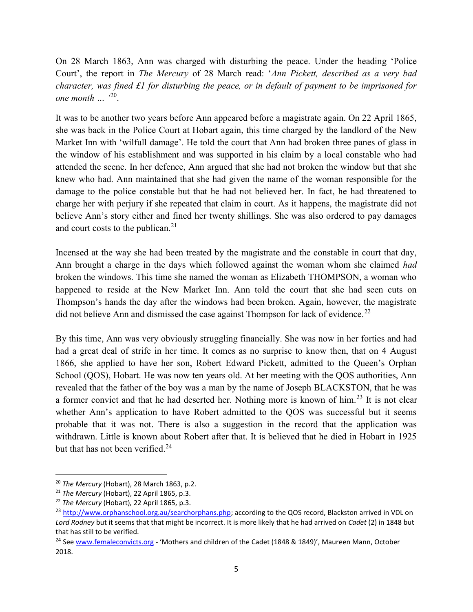On 28 March 1863, Ann was charged with disturbing the peace. Under the heading 'Police Court', the report in The Mercury of 28 March read: 'Ann Pickett, described as a very bad character, was fined £1 for disturbing the peace, or in default of payment to be imprisoned for one month  $\ldots$  <sup>20</sup>.

It was to be another two years before Ann appeared before a magistrate again. On 22 April 1865, she was back in the Police Court at Hobart again, this time charged by the landlord of the New Market Inn with 'wilfull damage'. He told the court that Ann had broken three panes of glass in the window of his establishment and was supported in his claim by a local constable who had attended the scene. In her defence, Ann argued that she had not broken the window but that she knew who had. Ann maintained that she had given the name of the woman responsible for the damage to the police constable but that he had not believed her. In fact, he had threatened to charge her with perjury if she repeated that claim in court. As it happens, the magistrate did not believe Ann's story either and fined her twenty shillings. She was also ordered to pay damages and court costs to the publican.<sup>21</sup>

Incensed at the way she had been treated by the magistrate and the constable in court that day, Ann brought a charge in the days which followed against the woman whom she claimed had broken the windows. This time she named the woman as Elizabeth THOMPSON, a woman who happened to reside at the New Market Inn. Ann told the court that she had seen cuts on Thompson's hands the day after the windows had been broken. Again, however, the magistrate did not believe Ann and dismissed the case against Thompson for lack of evidence.<sup>22</sup>

By this time, Ann was very obviously struggling financially. She was now in her forties and had had a great deal of strife in her time. It comes as no surprise to know then, that on 4 August 1866, she applied to have her son, Robert Edward Pickett, admitted to the Queen's Orphan School (QOS), Hobart. He was now ten years old. At her meeting with the QOS authorities, Ann revealed that the father of the boy was a man by the name of Joseph BLACKSTON, that he was a former convict and that he had deserted her. Nothing more is known of him.<sup>23</sup> It is not clear whether Ann's application to have Robert admitted to the QOS was successful but it seems probable that it was not. There is also a suggestion in the record that the application was withdrawn. Little is known about Robert after that. It is believed that he died in Hobart in 1925 but that has not been verified. $24$ 

 $\overline{a}$ 

<sup>&</sup>lt;sup>20</sup> The Mercury (Hobart), 28 March 1863, p.2.

<sup>&</sup>lt;sup>21</sup> The Mercury (Hobart), 22 April 1865, p.3.

<sup>&</sup>lt;sup>22</sup> The Mercury (Hobart), 22 April 1865, p.3.

<sup>&</sup>lt;sup>23</sup> http://www.orphanschool.org.au/searchorphans.php; according to the QOS record, Blackston arrived in VDL on Lord Rodney but it seems that that might be incorrect. It is more likely that he had arrived on Cadet (2) in 1848 but that has still to be verified.

<sup>&</sup>lt;sup>24</sup> See www.femaleconvicts.org - 'Mothers and children of the Cadet (1848 & 1849)', Maureen Mann, October 2018.